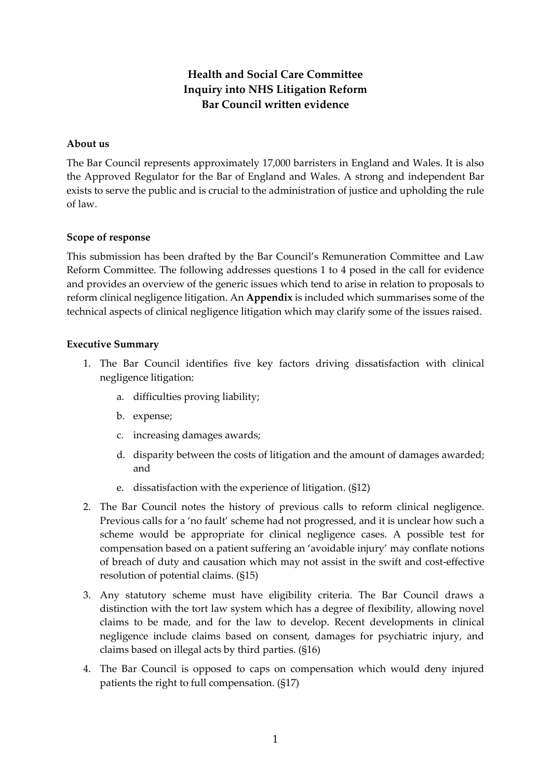# **Health and Social Care Committee Inquiry into NHS Litigation Reform Bar Council written evidence**

### **About us**

The Bar Council represents approximately 17,000 barristers in England and Wales. It is also the Approved Regulator for the Bar of England and Wales. A strong and independent Bar exists to serve the public and is crucial to the administration of justice and upholding the rule of law.

# **Scope of response**

This submission has been drafted by the Bar Council's Remuneration Committee and Law Reform Committee. The following addresses questions 1 to 4 posed in the call for evidence and provides an overview of the generic issues which tend to arise in relation to proposals to reform clinical negligence litigation. An **Appendix** is included which summarises some of the technical aspects of clinical negligence litigation which may clarify some of the issues raised.

### **Executive Summary**

- 1. The Bar Council identifies five key factors driving dissatisfaction with clinical negligence litigation:
	- a. difficulties proving liability;
	- b. expense;
	- c. increasing damages awards;
	- d. disparity between the costs of litigation and the amount of damages awarded; and
	- e. dissatisfaction with the experience of litigation. (§12)
- 2. The Bar Council notes the history of previous calls to reform clinical negligence. Previous calls for a 'no fault' scheme had not progressed, and it is unclear how such a scheme would be appropriate for clinical negligence cases. A possible test for compensation based on a patient suffering an 'avoidable injury' may conflate notions of breach of duty and causation which may not assist in the swift and cost-effective resolution of potential claims. (§15)
- 3. Any statutory scheme must have eligibility criteria. The Bar Council draws a distinction with the tort law system which has a degree of flexibility, allowing novel claims to be made, and for the law to develop. Recent developments in clinical negligence include claims based on consent, damages for psychiatric injury, and claims based on illegal acts by third parties. (§16)
- 4. The Bar Council is opposed to caps on compensation which would deny injured patients the right to full compensation. (§17)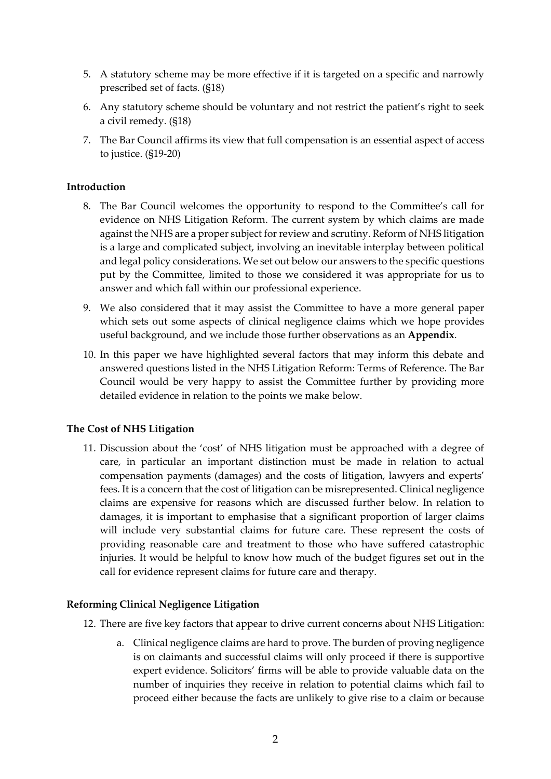- 5. A statutory scheme may be more effective if it is targeted on a specific and narrowly prescribed set of facts. (§18)
- 6. Any statutory scheme should be voluntary and not restrict the patient's right to seek a civil remedy. (§18)
- 7. The Bar Council affirms its view that full compensation is an essential aspect of access to justice. (§19-20)

# **Introduction**

- 8. The Bar Council welcomes the opportunity to respond to the Committee's call for evidence on NHS Litigation Reform. The current system by which claims are made against the NHS are a proper subject for review and scrutiny. Reform of NHS litigation is a large and complicated subject, involving an inevitable interplay between political and legal policy considerations. We set out below our answers to the specific questions put by the Committee, limited to those we considered it was appropriate for us to answer and which fall within our professional experience.
- 9. We also considered that it may assist the Committee to have a more general paper which sets out some aspects of clinical negligence claims which we hope provides useful background, and we include those further observations as an **Appendix**.
- 10. In this paper we have highlighted several factors that may inform this debate and answered questions listed in the NHS Litigation Reform: Terms of Reference. The Bar Council would be very happy to assist the Committee further by providing more detailed evidence in relation to the points we make below.

### **The Cost of NHS Litigation**

11. Discussion about the 'cost' of NHS litigation must be approached with a degree of care, in particular an important distinction must be made in relation to actual compensation payments (damages) and the costs of litigation, lawyers and experts' fees. It is a concern that the cost of litigation can be misrepresented. Clinical negligence claims are expensive for reasons which are discussed further below. In relation to damages, it is important to emphasise that a significant proportion of larger claims will include very substantial claims for future care. These represent the costs of providing reasonable care and treatment to those who have suffered catastrophic injuries. It would be helpful to know how much of the budget figures set out in the call for evidence represent claims for future care and therapy.

### **Reforming Clinical Negligence Litigation**

- 12. There are five key factors that appear to drive current concerns about NHS Litigation:
	- a. Clinical negligence claims are hard to prove. The burden of proving negligence is on claimants and successful claims will only proceed if there is supportive expert evidence. Solicitors' firms will be able to provide valuable data on the number of inquiries they receive in relation to potential claims which fail to proceed either because the facts are unlikely to give rise to a claim or because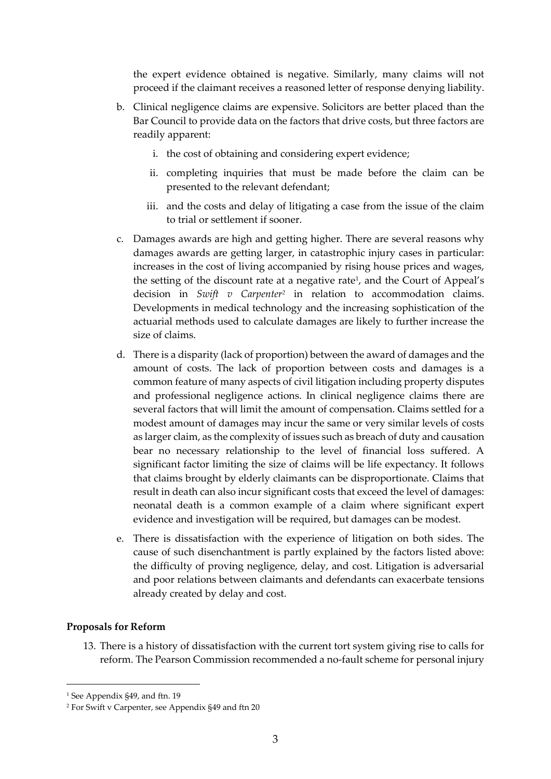the expert evidence obtained is negative. Similarly, many claims will not proceed if the claimant receives a reasoned letter of response denying liability.

- b. Clinical negligence claims are expensive. Solicitors are better placed than the Bar Council to provide data on the factors that drive costs, but three factors are readily apparent:
	- i. the cost of obtaining and considering expert evidence;
	- ii. completing inquiries that must be made before the claim can be presented to the relevant defendant;
	- iii. and the costs and delay of litigating a case from the issue of the claim to trial or settlement if sooner.
- c. Damages awards are high and getting higher. There are several reasons why damages awards are getting larger, in catastrophic injury cases in particular: increases in the cost of living accompanied by rising house prices and wages, the setting of the discount rate at a negative rate<sup>1</sup>, and the Court of Appeal's decision in *Swift v Carpenter<sup>2</sup>* in relation to accommodation claims. Developments in medical technology and the increasing sophistication of the actuarial methods used to calculate damages are likely to further increase the size of claims.
- d. There is a disparity (lack of proportion) between the award of damages and the amount of costs. The lack of proportion between costs and damages is a common feature of many aspects of civil litigation including property disputes and professional negligence actions. In clinical negligence claims there are several factors that will limit the amount of compensation. Claims settled for a modest amount of damages may incur the same or very similar levels of costs as larger claim, as the complexity of issues such as breach of duty and causation bear no necessary relationship to the level of financial loss suffered. A significant factor limiting the size of claims will be life expectancy. It follows that claims brought by elderly claimants can be disproportionate. Claims that result in death can also incur significant costs that exceed the level of damages: neonatal death is a common example of a claim where significant expert evidence and investigation will be required, but damages can be modest.
- e. There is dissatisfaction with the experience of litigation on both sides. The cause of such disenchantment is partly explained by the factors listed above: the difficulty of proving negligence, delay, and cost. Litigation is adversarial and poor relations between claimants and defendants can exacerbate tensions already created by delay and cost.

#### **Proposals for Reform**

13. There is a history of dissatisfaction with the current tort system giving rise to calls for reform. The Pearson Commission recommended a no-fault scheme for personal injury

<sup>&</sup>lt;sup>1</sup> See Appendix §49, and ftn. 19

<sup>2</sup> For Swift v Carpenter, see Appendix §49 and ftn 20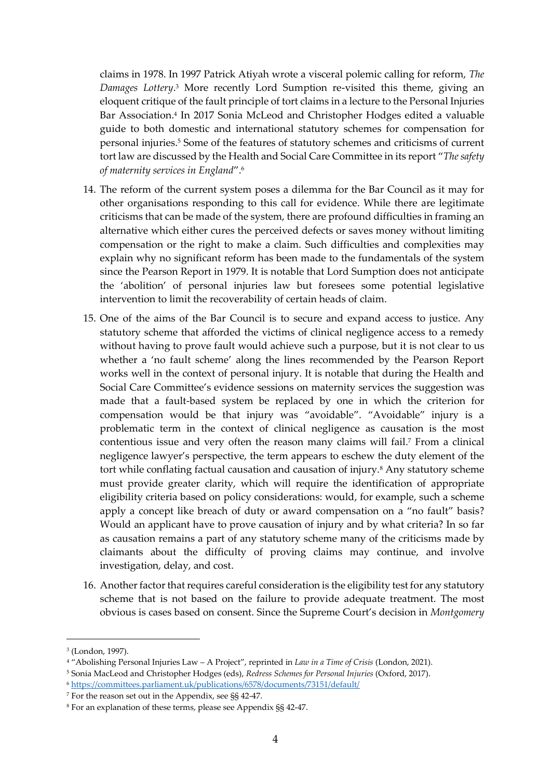claims in 1978. In 1997 Patrick Atiyah wrote a visceral polemic calling for reform, *The Damages Lottery*. <sup>3</sup> More recently Lord Sumption re-visited this theme, giving an eloquent critique of the fault principle of tort claims in a lecture to the Personal Injuries Bar Association.<sup>4</sup> In 2017 Sonia McLeod and Christopher Hodges edited a valuable guide to both domestic and international statutory schemes for compensation for personal injuries.<sup>5</sup> Some of the features of statutory schemes and criticisms of current tort law are discussed by the Health and Social Care Committee in its report "*The safety of maternity services in England*".<sup>6</sup>

- 14. The reform of the current system poses a dilemma for the Bar Council as it may for other organisations responding to this call for evidence. While there are legitimate criticisms that can be made of the system, there are profound difficulties in framing an alternative which either cures the perceived defects or saves money without limiting compensation or the right to make a claim. Such difficulties and complexities may explain why no significant reform has been made to the fundamentals of the system since the Pearson Report in 1979. It is notable that Lord Sumption does not anticipate the 'abolition' of personal injuries law but foresees some potential legislative intervention to limit the recoverability of certain heads of claim.
- 15. One of the aims of the Bar Council is to secure and expand access to justice. Any statutory scheme that afforded the victims of clinical negligence access to a remedy without having to prove fault would achieve such a purpose, but it is not clear to us whether a 'no fault scheme' along the lines recommended by the Pearson Report works well in the context of personal injury. It is notable that during the Health and Social Care Committee's evidence sessions on maternity services the suggestion was made that a fault-based system be replaced by one in which the criterion for compensation would be that injury was "avoidable". "Avoidable" injury is a problematic term in the context of clinical negligence as causation is the most contentious issue and very often the reason many claims will fail.<sup>7</sup> From a clinical negligence lawyer's perspective, the term appears to eschew the duty element of the tort while conflating factual causation and causation of injury.<sup>8</sup> Any statutory scheme must provide greater clarity, which will require the identification of appropriate eligibility criteria based on policy considerations: would, for example, such a scheme apply a concept like breach of duty or award compensation on a "no fault" basis? Would an applicant have to prove causation of injury and by what criteria? In so far as causation remains a part of any statutory scheme many of the criticisms made by claimants about the difficulty of proving claims may continue, and involve investigation, delay, and cost.
- 16. Another factor that requires careful consideration is the eligibility test for any statutory scheme that is not based on the failure to provide adequate treatment. The most obvious is cases based on consent. Since the Supreme Court's decision in *Montgomery*

<sup>3</sup> (London, 1997).

<sup>4</sup> "Abolishing Personal Injuries Law – A Project", reprinted in *Law in a Time of Crisis* (London, 2021).

<sup>5</sup> Sonia MacLeod and Christopher Hodges (eds), *Redress Schemes for Personal Injuries* (Oxford, 2017). <sup>6</sup> <https://committees.parliament.uk/publications/6578/documents/73151/default/>

<sup>7</sup> For the reason set out in the Appendix, see §§ 42-47.

<sup>8</sup> For an explanation of these terms, please see Appendix §§ 42-47.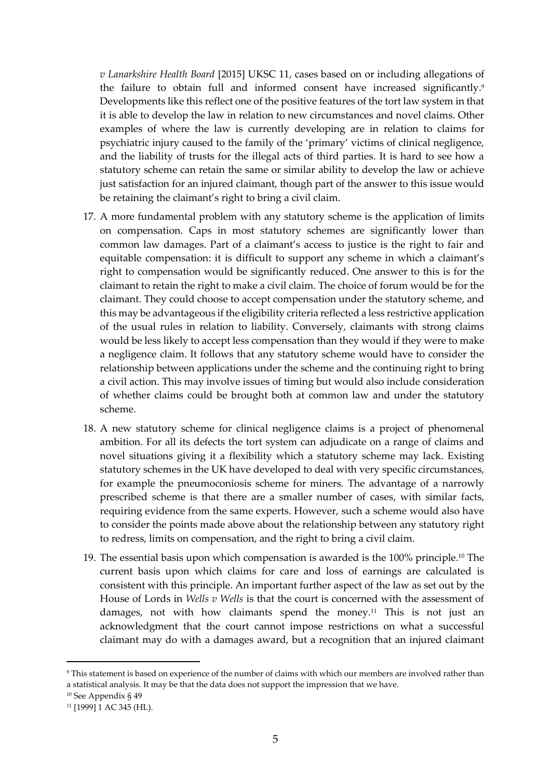*v Lanarkshire Health Board* [2015] UKSC 11, cases based on or including allegations of the failure to obtain full and informed consent have increased significantly.<sup>9</sup> Developments like this reflect one of the positive features of the tort law system in that it is able to develop the law in relation to new circumstances and novel claims. Other examples of where the law is currently developing are in relation to claims for psychiatric injury caused to the family of the 'primary' victims of clinical negligence, and the liability of trusts for the illegal acts of third parties. It is hard to see how a statutory scheme can retain the same or similar ability to develop the law or achieve just satisfaction for an injured claimant, though part of the answer to this issue would be retaining the claimant's right to bring a civil claim.

- 17. A more fundamental problem with any statutory scheme is the application of limits on compensation. Caps in most statutory schemes are significantly lower than common law damages. Part of a claimant's access to justice is the right to fair and equitable compensation: it is difficult to support any scheme in which a claimant's right to compensation would be significantly reduced. One answer to this is for the claimant to retain the right to make a civil claim. The choice of forum would be for the claimant. They could choose to accept compensation under the statutory scheme, and this may be advantageous if the eligibility criteria reflected a less restrictive application of the usual rules in relation to liability. Conversely, claimants with strong claims would be less likely to accept less compensation than they would if they were to make a negligence claim. It follows that any statutory scheme would have to consider the relationship between applications under the scheme and the continuing right to bring a civil action. This may involve issues of timing but would also include consideration of whether claims could be brought both at common law and under the statutory scheme.
- 18. A new statutory scheme for clinical negligence claims is a project of phenomenal ambition. For all its defects the tort system can adjudicate on a range of claims and novel situations giving it a flexibility which a statutory scheme may lack. Existing statutory schemes in the UK have developed to deal with very specific circumstances, for example the pneumoconiosis scheme for miners. The advantage of a narrowly prescribed scheme is that there are a smaller number of cases, with similar facts, requiring evidence from the same experts. However, such a scheme would also have to consider the points made above about the relationship between any statutory right to redress, limits on compensation, and the right to bring a civil claim.
- 19. The essential basis upon which compensation is awarded is the 100% principle.<sup>10</sup> The current basis upon which claims for care and loss of earnings are calculated is consistent with this principle. An important further aspect of the law as set out by the House of Lords in *Wells v Wells* is that the court is concerned with the assessment of damages, not with how claimants spend the money.<sup>11</sup> This is not just an acknowledgment that the court cannot impose restrictions on what a successful claimant may do with a damages award, but a recognition that an injured claimant

<sup>9</sup> This statement is based on experience of the number of claims with which our members are involved rather than a statistical analysis. It may be that the data does not support the impression that we have.

<sup>10</sup> See Appendix § 49

<sup>11</sup> [1999] 1 AC 345 (HL).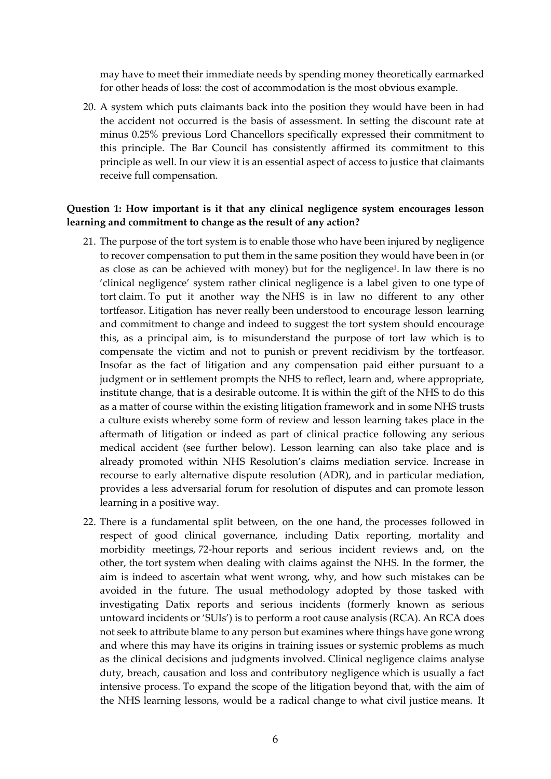may have to meet their immediate needs by spending money theoretically earmarked for other heads of loss: the cost of accommodation is the most obvious example.

20. A system which puts claimants back into the position they would have been in had the accident not occurred is the basis of assessment. In setting the discount rate at minus 0.25% previous Lord Chancellors specifically expressed their commitment to this principle. The Bar Council has consistently affirmed its commitment to this principle as well. In our view it is an essential aspect of access to justice that claimants receive full compensation.

# **Question 1: How important is it that any clinical negligence system encourages lesson learning and commitment to change as the result of any action?**

- 21. The purpose of the tort system is to enable those who have been injured by negligence to recover compensation to put them in the same position they would have been in (or as close as can be achieved with money) but for the negligence 1 . In law there is no 'clinical negligence' system rather clinical negligence is a label given to one type of tort claim. To put it another way the NHS is in law no different to any other tortfeasor. Litigation has never really been understood to encourage lesson learning and commitment to change and indeed to suggest the tort system should encourage this, as a principal aim, is to misunderstand the purpose of tort law which is to compensate the victim and not to punish or prevent recidivism by the tortfeasor. Insofar as the fact of litigation and any compensation paid either pursuant to a judgment or in settlement prompts the NHS to reflect, learn and, where appropriate, institute change, that is a desirable outcome. It is within the gift of the NHS to do this as a matter of course within the existing litigation framework and in some NHS trusts a culture exists whereby some form of review and lesson learning takes place in the aftermath of litigation or indeed as part of clinical practice following any serious medical accident (see further below). Lesson learning can also take place and is already promoted within NHS Resolution's claims mediation service. Increase in recourse to early alternative dispute resolution (ADR), and in particular mediation, provides a less adversarial forum for resolution of disputes and can promote lesson learning in a positive way.
- 22. There is a fundamental split between, on the one hand, the processes followed in respect of good clinical governance, including Datix reporting, mortality and morbidity meetings, 72-hour reports and serious incident reviews and, on the other, the tort system when dealing with claims against the NHS. In the former, the aim is indeed to ascertain what went wrong, why, and how such mistakes can be avoided in the future. The usual methodology adopted by those tasked with investigating Datix reports and serious incidents (formerly known as serious untoward incidents or 'SUIs') is to perform a root cause analysis (RCA). An RCA does not seek to attribute blame to any person but examines where things have gone wrong and where this may have its origins in training issues or systemic problems as much as the clinical decisions and judgments involved. Clinical negligence claims analyse duty, breach, causation and loss and contributory negligence which is usually a fact intensive process. To expand the scope of the litigation beyond that, with the aim of the NHS learning lessons, would be a radical change to what civil justice means. It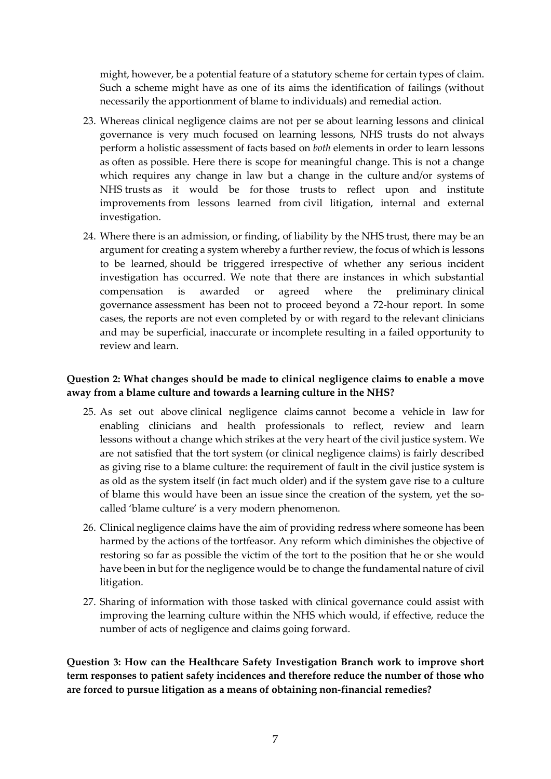might, however, be a potential feature of a statutory scheme for certain types of claim. Such a scheme might have as one of its aims the identification of failings (without necessarily the apportionment of blame to individuals) and remedial action.

- 23. Whereas clinical negligence claims are not per se about learning lessons and clinical governance is very much focused on learning lessons, NHS trusts do not always perform a holistic assessment of facts based on *both* elements in order to learn lessons as often as possible. Here there is scope for meaningful change. This is not a change which requires any change in law but a change in the culture and/or systems of NHS trusts as it would be for those trusts to reflect upon and institute improvements from lessons learned from civil litigation, internal and external investigation.
- 24. Where there is an admission, or finding, of liability by the NHS trust, there may be an argument for creating a system whereby a further review, the focus of which is lessons to be learned, should be triggered irrespective of whether any serious incident investigation has occurred. We note that there are instances in which substantial compensation is awarded or agreed where the preliminary clinical governance assessment has been not to proceed beyond a 72-hour report. In some cases, the reports are not even completed by or with regard to the relevant clinicians and may be superficial, inaccurate or incomplete resulting in a failed opportunity to review and learn.

# **Question 2: What changes should be made to clinical negligence claims to enable a move away from a blame culture and towards a learning culture in the NHS?**

- 25. As set out above clinical negligence claims cannot become a vehicle in law for enabling clinicians and health professionals to reflect, review and learn lessons without a change which strikes at the very heart of the civil justice system. We are not satisfied that the tort system (or clinical negligence claims) is fairly described as giving rise to a blame culture: the requirement of fault in the civil justice system is as old as the system itself (in fact much older) and if the system gave rise to a culture of blame this would have been an issue since the creation of the system, yet the socalled 'blame culture' is a very modern phenomenon.
- 26. Clinical negligence claims have the aim of providing redress where someone has been harmed by the actions of the tortfeasor. Any reform which diminishes the objective of restoring so far as possible the victim of the tort to the position that he or she would have been in but for the negligence would be to change the fundamental nature of civil litigation.
- 27. Sharing of information with those tasked with clinical governance could assist with improving the learning culture within the NHS which would, if effective, reduce the number of acts of negligence and claims going forward.

**Question 3: How can the Healthcare Safety Investigation Branch work to improve short term responses to patient safety incidences and therefore reduce the number of those who are forced to pursue litigation as a means of obtaining non-financial remedies?**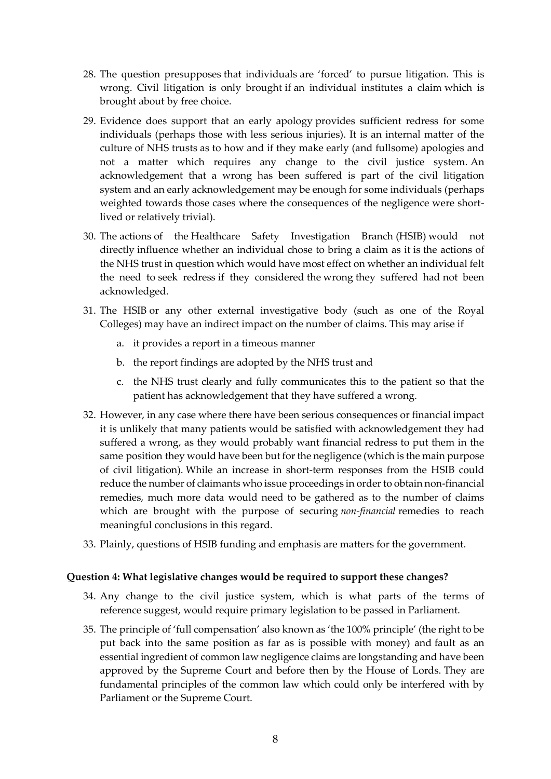- 28. The question presupposes that individuals are 'forced' to pursue litigation. This is wrong. Civil litigation is only brought if an individual institutes a claim which is brought about by free choice.
- 29. Evidence does support that an early apology provides sufficient redress for some individuals (perhaps those with less serious injuries). It is an internal matter of the culture of NHS trusts as to how and if they make early (and fullsome) apologies and not a matter which requires any change to the civil justice system. An acknowledgement that a wrong has been suffered is part of the civil litigation system and an early acknowledgement may be enough for some individuals (perhaps weighted towards those cases where the consequences of the negligence were shortlived or relatively trivial).
- 30. The actions of the Healthcare Safety Investigation Branch (HSIB) would not directly influence whether an individual chose to bring a claim as it is the actions of the NHS trust in question which would have most effect on whether an individual felt the need to seek redress if they considered the wrong they suffered had not been acknowledged.
- 31. The HSIB or any other external investigative body (such as one of the Royal Colleges) may have an indirect impact on the number of claims. This may arise if
	- a. it provides a report in a timeous manner
	- b. the report findings are adopted by the NHS trust and
	- c. the NHS trust clearly and fully communicates this to the patient so that the patient has acknowledgement that they have suffered a wrong.
- 32. However, in any case where there have been serious consequences or financial impact it is unlikely that many patients would be satisfied with acknowledgement they had suffered a wrong, as they would probably want financial redress to put them in the same position they would have been but for the negligence (which is the main purpose of civil litigation). While an increase in short-term responses from the HSIB could reduce the number of claimants who issue proceedings in order to obtain non-financial remedies, much more data would need to be gathered as to the number of claims which are brought with the purpose of securing *non-financial* remedies to reach meaningful conclusions in this regard.
- 33. Plainly, questions of HSIB funding and emphasis are matters for the government.

#### **Question 4: What legislative changes would be required to support these changes?**

- 34. Any change to the civil justice system, which is what parts of the terms of reference suggest, would require primary legislation to be passed in Parliament.
- 35. The principle of 'full compensation' also known as 'the 100% principle' (the right to be put back into the same position as far as is possible with money) and fault as an essential ingredient of common law negligence claims are longstanding and have been approved by the Supreme Court and before then by the House of Lords. They are fundamental principles of the common law which could only be interfered with by Parliament or the Supreme Court.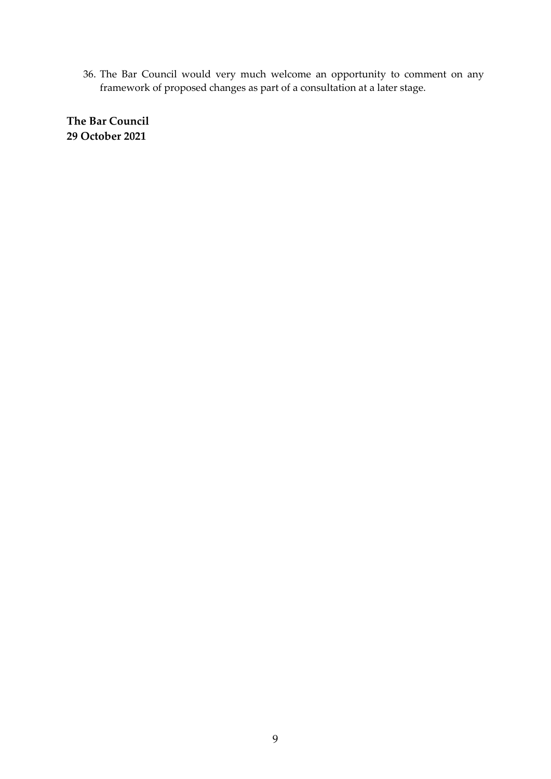36. The Bar Council would very much welcome an opportunity to comment on any framework of proposed changes as part of a consultation at a later stage.

**The Bar Council 29 October 2021**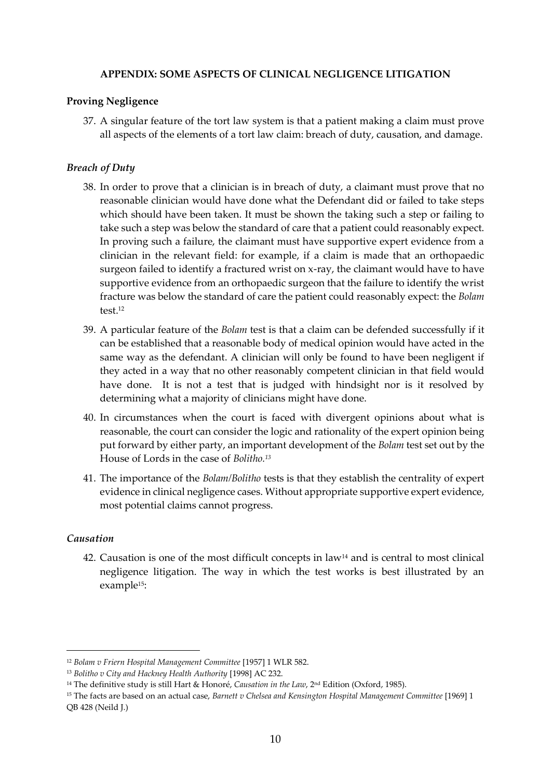# **APPENDIX: SOME ASPECTS OF CLINICAL NEGLIGENCE LITIGATION**

# **Proving Negligence**

37. A singular feature of the tort law system is that a patient making a claim must prove all aspects of the elements of a tort law claim: breach of duty, causation, and damage.

# *Breach of Duty*

- 38. In order to prove that a clinician is in breach of duty, a claimant must prove that no reasonable clinician would have done what the Defendant did or failed to take steps which should have been taken. It must be shown the taking such a step or failing to take such a step was below the standard of care that a patient could reasonably expect. In proving such a failure, the claimant must have supportive expert evidence from a clinician in the relevant field: for example, if a claim is made that an orthopaedic surgeon failed to identify a fractured wrist on x-ray, the claimant would have to have supportive evidence from an orthopaedic surgeon that the failure to identify the wrist fracture was below the standard of care the patient could reasonably expect: the *Bolam* test.<sup>12</sup>
- 39. A particular feature of the *Bolam* test is that a claim can be defended successfully if it can be established that a reasonable body of medical opinion would have acted in the same way as the defendant. A clinician will only be found to have been negligent if they acted in a way that no other reasonably competent clinician in that field would have done. It is not a test that is judged with hindsight nor is it resolved by determining what a majority of clinicians might have done.
- 40. In circumstances when the court is faced with divergent opinions about what is reasonable, the court can consider the logic and rationality of the expert opinion being put forward by either party, an important development of the *Bolam* test set out by the House of Lords in the case of *Bolitho.<sup>13</sup>*
- 41. The importance of the *Bolam/Bolitho* tests is that they establish the centrality of expert evidence in clinical negligence cases. Without appropriate supportive expert evidence, most potential claims cannot progress.

### *Causation*

42. Causation is one of the most difficult concepts in law<sup>14</sup> and is central to most clinical negligence litigation. The way in which the test works is best illustrated by an example15:

<sup>12</sup> *Bolam v Friern Hospital Management Committee* [1957] 1 WLR 582.

<sup>13</sup> *Bolitho v City and Hackney Health Authority* [1998] AC 232.

<sup>&</sup>lt;sup>14</sup> The definitive study is still Hart & Honoré, *Causation in the Law*, 2<sup>nd</sup> Edition (Oxford, 1985).

<sup>15</sup> The facts are based on an actual case, *Barnett v Chelsea and Kensington Hospital Management Committee* [1969] 1 QB 428 (Neild J.)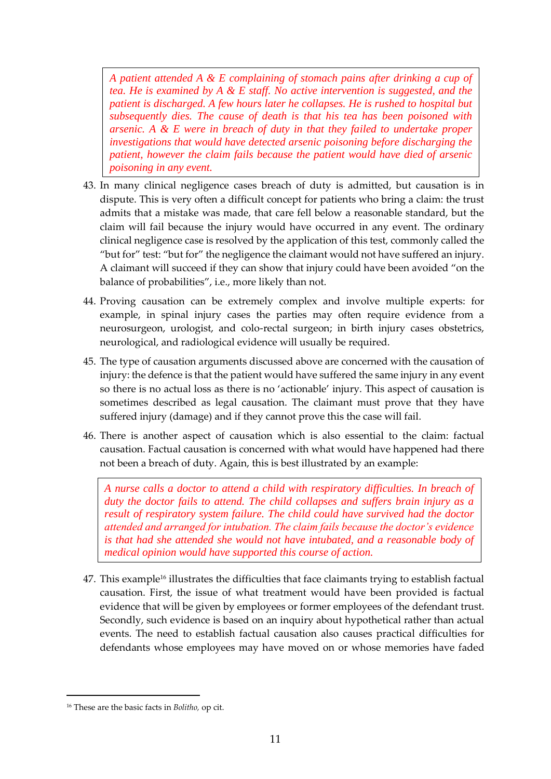*A patient attended A & E complaining of stomach pains after drinking a cup of tea. He is examined by A & E staff. No active intervention is suggested, and the patient is discharged. A few hours later he collapses. He is rushed to hospital but subsequently dies. The cause of death is that his tea has been poisoned with arsenic. A & E were in breach of duty in that they failed to undertake proper investigations that would have detected arsenic poisoning before discharging the patient, however the claim fails because the patient would have died of arsenic poisoning in any event.*

- 43. In many clinical negligence cases breach of duty is admitted, but causation is in dispute. This is very often a difficult concept for patients who bring a claim: the trust admits that a mistake was made, that care fell below a reasonable standard, but the claim will fail because the injury would have occurred in any event. The ordinary clinical negligence case is resolved by the application of this test, commonly called the "but for" test: "but for" the negligence the claimant would not have suffered an injury. A claimant will succeed if they can show that injury could have been avoided "on the balance of probabilities", i.e., more likely than not.
- 44. Proving causation can be extremely complex and involve multiple experts: for example, in spinal injury cases the parties may often require evidence from a neurosurgeon, urologist, and colo-rectal surgeon; in birth injury cases obstetrics, neurological, and radiological evidence will usually be required.
- 45. The type of causation arguments discussed above are concerned with the causation of injury: the defence is that the patient would have suffered the same injury in any event so there is no actual loss as there is no 'actionable' injury. This aspect of causation is sometimes described as legal causation. The claimant must prove that they have suffered injury (damage) and if they cannot prove this the case will fail.
- 46. There is another aspect of causation which is also essential to the claim: factual causation. Factual causation is concerned with what would have happened had there not been a breach of duty. Again, this is best illustrated by an example:

*A nurse calls a doctor to attend a child with respiratory difficulties. In breach of duty the doctor fails to attend. The child collapses and suffers brain injury as a result of respiratory system failure. The child could have survived had the doctor attended and arranged for intubation. The claim fails because the doctor's evidence is that had she attended she would not have intubated, and a reasonable body of medical opinion would have supported this course of action.* 

47. This example<sup>16</sup> illustrates the difficulties that face claimants trying to establish factual causation. First, the issue of what treatment would have been provided is factual evidence that will be given by employees or former employees of the defendant trust. Secondly, such evidence is based on an inquiry about hypothetical rather than actual events. The need to establish factual causation also causes practical difficulties for defendants whose employees may have moved on or whose memories have faded

<sup>16</sup> These are the basic facts in *Bolitho,* op cit.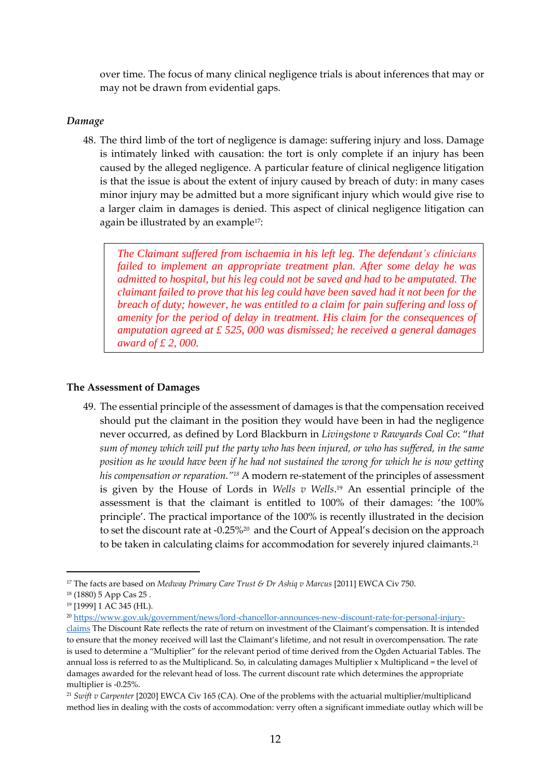over time. The focus of many clinical negligence trials is about inferences that may or may not be drawn from evidential gaps.

#### *Damage*

48. The third limb of the tort of negligence is damage: suffering injury and loss. Damage is intimately linked with causation: the tort is only complete if an injury has been caused by the alleged negligence. A particular feature of clinical negligence litigation is that the issue is about the extent of injury caused by breach of duty: in many cases minor injury may be admitted but a more significant injury which would give rise to a larger claim in damages is denied. This aspect of clinical negligence litigation can again be illustrated by an example<sup>17</sup>:

*The Claimant suffered from ischaemia in his left leg. The defendant's clinicians failed to implement an appropriate treatment plan. After some delay he was admitted to hospital, but his leg could not be saved and had to be amputated. The claimant failed to prove that his leg could have been saved had it not been for the breach of duty; however, he was entitled to a claim for pain suffering and loss of amenity for the period of delay in treatment. His claim for the consequences of amputation agreed at £ 525, 000 was dismissed; he received a general damages award of £ 2, 000.* 

#### **The Assessment of Damages**

49. The essential principle of the assessment of damages is that the compensation received should put the claimant in the position they would have been in had the negligence never occurred, as defined by Lord Blackburn in *Livingstone v Rawyards Coal Co*: "*that sum of money which will put the party who has been injured, or who has suffered, in the same position as he would have been if he had not sustained the wrong for which he is now getting his compensation or reparation."<sup>18</sup>* A modern re-statement of the principles of assessment is given by the House of Lords in *Wells v Wells*. <sup>19</sup> An essential principle of the assessment is that the claimant is entitled to 100% of their damages: 'the 100% principle'. The practical importance of the 100% is recently illustrated in the decision to set the discount rate at -0.25%<sup>20</sup> and the Court of Appeal's decision on the approach to be taken in calculating claims for accommodation for severely injured claimants.<sup>21</sup>

<sup>&</sup>lt;sup>17</sup> The facts are based on *Medway Primary Care Trust & Dr Ashiq v Marcus* [2011] EWCA Civ 750.

<sup>18</sup> (1880) 5 App Cas 25 .

<sup>19</sup> [1999] 1 AC 345 (HL).

<sup>20</sup> [https://www.gov.uk/government/news/lord-chancellor-announces-new-discount-rate-for-personal-injury](https://www.gov.uk/government/news/lord-chancellor-announces-new-discount-rate-for-personal-injury-claims)[claims](https://www.gov.uk/government/news/lord-chancellor-announces-new-discount-rate-for-personal-injury-claims) The Discount Rate reflects the rate of return on investment of the Claimant's compensation. It is intended to ensure that the money received will last the Claimant's lifetime, and not result in overcompensation. The rate is used to determine a "Multiplier" for the relevant period of time derived from the Ogden Actuarial Tables. The annual loss is referred to as the Multiplicand. So, in calculating damages Multiplier x Multiplicand = the level of damages awarded for the relevant head of loss. The current discount rate which determines the appropriate

multiplier is -0.25%. <sup>21</sup> *Swift v Carpenter* [2020] EWCA Civ 165 (CA). One of the problems with the actuarial multiplier/multiplicand method lies in dealing with the costs of accommodation: verry often a significant immediate outlay which will be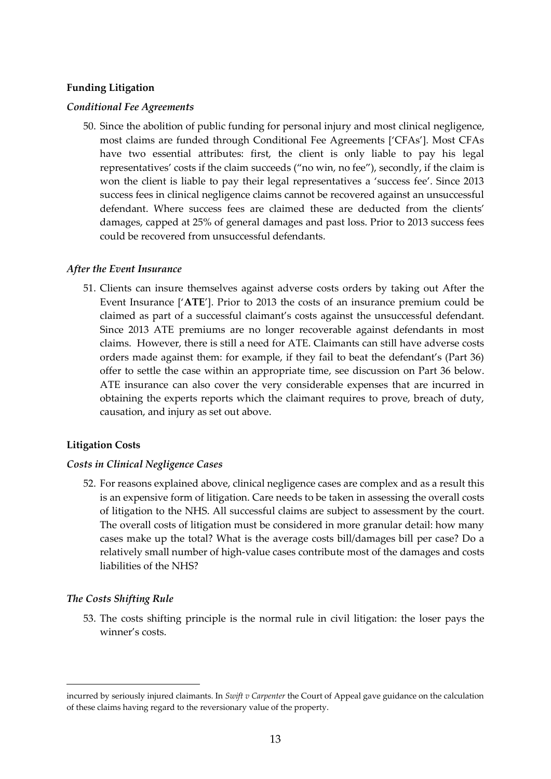# **Funding Litigation**

#### *Conditional Fee Agreements*

50. Since the abolition of public funding for personal injury and most clinical negligence, most claims are funded through Conditional Fee Agreements ['CFAs']. Most CFAs have two essential attributes: first, the client is only liable to pay his legal representatives' costs if the claim succeeds ("no win, no fee"), secondly, if the claim is won the client is liable to pay their legal representatives a 'success fee'. Since 2013 success fees in clinical negligence claims cannot be recovered against an unsuccessful defendant. Where success fees are claimed these are deducted from the clients' damages, capped at 25% of general damages and past loss. Prior to 2013 success fees could be recovered from unsuccessful defendants.

#### *After the Event Insurance*

51. Clients can insure themselves against adverse costs orders by taking out After the Event Insurance ['**ATE**']. Prior to 2013 the costs of an insurance premium could be claimed as part of a successful claimant's costs against the unsuccessful defendant. Since 2013 ATE premiums are no longer recoverable against defendants in most claims. However, there is still a need for ATE. Claimants can still have adverse costs orders made against them: for example, if they fail to beat the defendant's (Part 36) offer to settle the case within an appropriate time, see discussion on Part 36 below. ATE insurance can also cover the very considerable expenses that are incurred in obtaining the experts reports which the claimant requires to prove, breach of duty, causation, and injury as set out above.

### **Litigation Costs**

#### *Costs in Clinical Negligence Cases*

52. For reasons explained above, clinical negligence cases are complex and as a result this is an expensive form of litigation. Care needs to be taken in assessing the overall costs of litigation to the NHS. All successful claims are subject to assessment by the court. The overall costs of litigation must be considered in more granular detail: how many cases make up the total? What is the average costs bill/damages bill per case? Do a relatively small number of high-value cases contribute most of the damages and costs liabilities of the NHS?

### *The Costs Shifting Rule*

53. The costs shifting principle is the normal rule in civil litigation: the loser pays the winner's costs.

incurred by seriously injured claimants. In *Swift v Carpenter* the Court of Appeal gave guidance on the calculation of these claims having regard to the reversionary value of the property.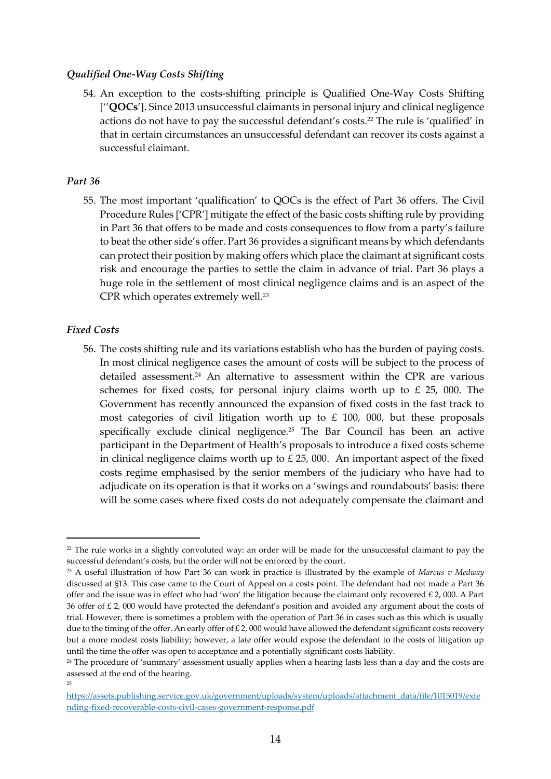#### *Qualified One-Way Costs Shifting*

54. An exception to the costs-shifting principle is Qualified One-Way Costs Shifting [''**QOCs**']. Since 2013 unsuccessful claimants in personal injury and clinical negligence actions do not have to pay the successful defendant's costs.<sup>22</sup> The rule is 'qualified' in that in certain circumstances an unsuccessful defendant can recover its costs against a successful claimant.

#### *Part 36*

55. The most important 'qualification' to QOCs is the effect of Part 36 offers. The Civil Procedure Rules ['CPR'] mitigate the effect of the basic costs shifting rule by providing in Part 36 that offers to be made and costs consequences to flow from a party's failure to beat the other side's offer. Part 36 provides a significant means by which defendants can protect their position by making offers which place the claimant at significant costs risk and encourage the parties to settle the claim in advance of trial. Part 36 plays a huge role in the settlement of most clinical negligence claims and is an aspect of the CPR which operates extremely well.<sup>23</sup>

#### *Fixed Costs*

56. The costs shifting rule and its variations establish who has the burden of paying costs. In most clinical negligence cases the amount of costs will be subject to the process of detailed assessment.<sup>24</sup> An alternative to assessment within the CPR are various schemes for fixed costs, for personal injury claims worth up to  $\epsilon$  25, 000. The Government has recently announced the expansion of fixed costs in the fast track to most categories of civil litigation worth up to  $\textsterling}$  100, 000, but these proposals specifically exclude clinical negligence.<sup>25</sup> The Bar Council has been an active participant in the Department of Health's proposals to introduce a fixed costs scheme in clinical negligence claims worth up to  $£$  25, 000. An important aspect of the fixed costs regime emphasised by the senior members of the judiciary who have had to adjudicate on its operation is that it works on a 'swings and roundabouts' basis: there will be some cases where fixed costs do not adequately compensate the claimant and

<sup>&</sup>lt;sup>22</sup> The rule works in a slightly convoluted way: an order will be made for the unsuccessful claimant to pay the successful defendant's costs, but the order will not be enforced by the court.

<sup>23</sup> A useful illustration of how Part 36 can work in practice is illustrated by the example of *Marcus v Medway* discussed at §13. This case came to the Court of Appeal on a costs point. The defendant had not made a Part 36 offer and the issue was in effect who had 'won' the litigation because the claimant only recovered  $£ 2,000$ . A Part 36 offer of £ 2, 000 would have protected the defendant's position and avoided any argument about the costs of trial. However, there is sometimes a problem with the operation of Part 36 in cases such as this which is usually due to the timing of the offer. An early offer of  $£ 2,000$  would have allowed the defendant significant costs recovery but a more modest costs liability; however, a late offer would expose the defendant to the costs of litigation up until the time the offer was open to acceptance and a potentially significant costs liability.

<sup>&</sup>lt;sup>24</sup> The procedure of 'summary' assessment usually applies when a hearing lasts less than a day and the costs are assessed at the end of the hearing. 25

[https://assets.publishing.service.gov.uk/government/uploads/system/uploads/attachment\\_data/file/1015019/exte](https://assets.publishing.service.gov.uk/government/uploads/system/uploads/attachment_data/file/1015019/extending-fixed-recoverable-costs-civil-cases-government-response.pdf) [nding-fixed-recoverable-costs-civil-cases-government-response.pdf](https://assets.publishing.service.gov.uk/government/uploads/system/uploads/attachment_data/file/1015019/extending-fixed-recoverable-costs-civil-cases-government-response.pdf)